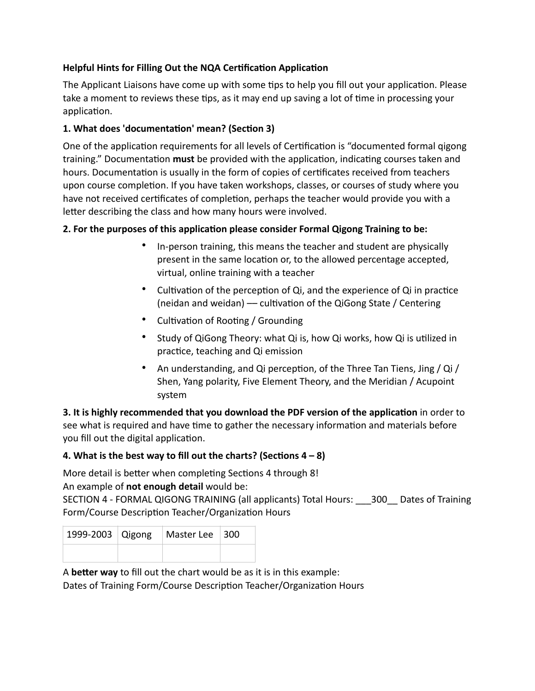# **Helpful Hints for Filling Out the NQA Certification Application**

The Applicant Liaisons have come up with some tips to help you fill out your application. Please take a moment to reviews these tips, as it may end up saving a lot of time in processing your application.

### 1. What does 'documentation' mean? (Section 3)

One of the application requirements for all levels of Certification is "documented formal qigong training." Documentation **must** be provided with the application, indicating courses taken and hours. Documentation is usually in the form of copies of certificates received from teachers upon course completion. If you have taken workshops, classes, or courses of study where you have not received certificates of completion, perhaps the teacher would provide you with a letter describing the class and how many hours were involved.

#### **2. For the purposes of this application please consider Formal Qigong Training to be:**

- In-person training, this means the teacher and student are physically present in the same location or, to the allowed percentage accepted, virtual, online training with a teacher
- Cultivation of the perception of Qi, and the experience of Qi in practice (neidan and weidan) — cultivation of the QiGong State / Centering
- Cultivation of Rooting / Grounding
- Study of QiGong Theory: what Qi is, how Qi works, how Qi is utilized in practice, teaching and Qi emission
- An understanding, and Qi perception, of the Three Tan Tiens, Jing / Qi / Shen, Yang polarity, Five Element Theory, and the Meridian / Acupoint system

**3. It is highly recommended that you download the PDF version of the application** in order to see what is required and have time to gather the necessary information and materials before you fill out the digital application.

### **4. What is the best way to fill out the charts? (Sections**  $4 - 8$ **)**

More detail is better when completing Sections 4 through 8! An example of **not enough detail** would be:

SECTION 4 - FORMAL QIGONG TRAINING (all applicants) Total Hours: \_\_\_300\_\_ Dates of Training Form/Course Description Teacher/Organization Hours

|  | 1999-2003 Qigong   Master Lee   300 |  |
|--|-------------------------------------|--|
|  |                                     |  |

A **better way** to fill out the chart would be as it is in this example:

Dates of Training Form/Course Description Teacher/Organization Hours